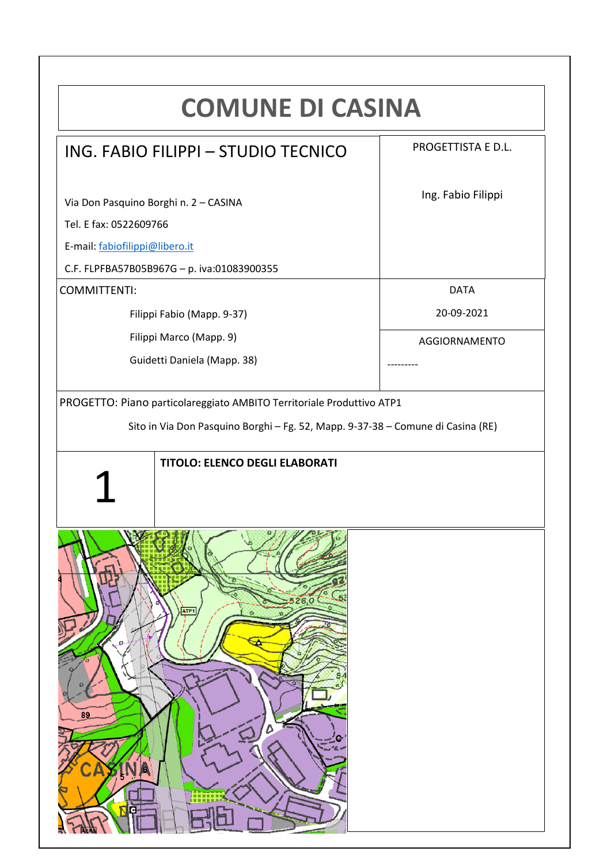| <b>COMUNE DI CASINA</b>                    |                      |
|--------------------------------------------|----------------------|
| ING. FABIO FILIPPI - STUDIO TECNICO        | PROGETTISTA E D.L.   |
| Via Don Pasquino Borghi n. 2 - CASINA      | Ing. Fabio Filippi   |
| Tel. E fax: 0522609766                     |                      |
| E-mail: fabiofilippi@libero.it             |                      |
| C.F. FLPFBA57B05B967G - p. iva:01083900355 |                      |
| COMMITTENTI:                               | <b>DATA</b>          |
| Filippi Fabio (Mapp. 9-37)                 | 20-09-2021           |
| Filippi Marco (Mapp. 9)                    | <b>AGGIORNAMENTO</b> |
| Guidetti Daniela (Mapp. 38)                |                      |
|                                            |                      |
| <b>ATP</b><br>89                           |                      |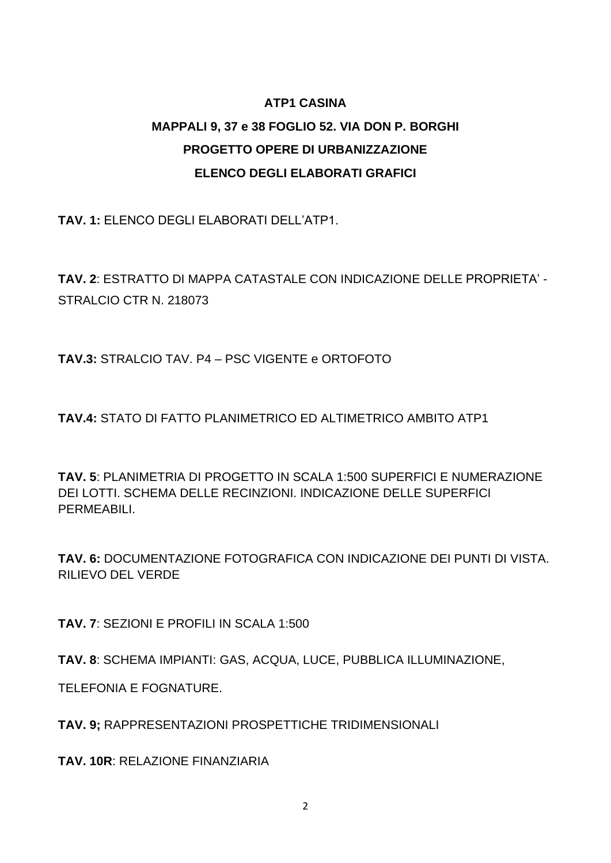## **ATP1 CASINA MAPPALI 9, 37 e 38 FOGLIO 52. VIA DON P. BORGHI PROGETTO OPERE DI URBANIZZAZIONE ELENCO DEGLI ELABORATI GRAFICI**

**TAV. 1:** ELENCO DEGLI ELABORATI DELL'ATP1.

**TAV. 2**: ESTRATTO DI MAPPA CATASTALE CON INDICAZIONE DELLE PROPRIETA' - STRALCIO CTR N. 218073

**TAV.3:** STRALCIO TAV. P4 – PSC VIGENTE e ORTOFOTO

**TAV.4:** STATO DI FATTO PLANIMETRICO ED ALTIMETRICO AMBITO ATP1

**TAV. 5**: PLANIMETRIA DI PROGETTO IN SCALA 1:500 SUPERFICI E NUMERAZIONE DEI LOTTI. SCHEMA DELLE RECINZIONI. INDICAZIONE DELLE SUPERFICI PERMEABILI.

**TAV. 6:** DOCUMENTAZIONE FOTOGRAFICA CON INDICAZIONE DEI PUNTI DI VISTA. RILIEVO DEL VERDE

**TAV. 7**: SEZIONI E PROFILI IN SCALA 1:500

**TAV. 8**: SCHEMA IMPIANTI: GAS, ACQUA, LUCE, PUBBLICA ILLUMINAZIONE,

TELEFONIA E FOGNATURE.

**TAV. 9;** RAPPRESENTAZIONI PROSPETTICHE TRIDIMENSIONALI

**TAV. 10R**: RELAZIONE FINANZIARIA